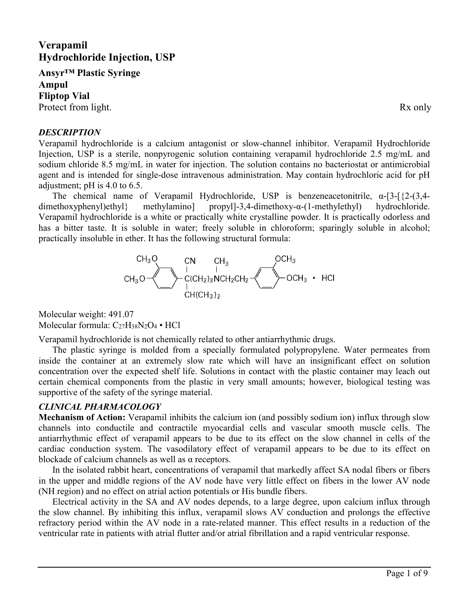# **Verapamil Hydrochloride Injection, USP**

**Ansyr™ Plastic Syringe Ampul Fliptop Vial** Protect from light. Rx only

#### *DESCRIPTION*

Verapamil hydrochloride is a calcium antagonist or slow-channel inhibitor. Verapamil Hydrochloride Injection, USP is a sterile, nonpyrogenic solution containing verapamil hydrochloride 2.5 mg/mL and sodium chloride 8.5 mg/mL in water for injection. The solution contains no bacteriostat or antimicrobial agent and is intended for single-dose intravenous administration. May contain hydrochloric acid for pH adjustment; pH is 4.0 to 6.5.

The chemical name of Verapamil Hydrochloride, USP is benzeneacetonitrile,  $\alpha$ -[3-[{2-(3,4dimethoxyphenyl)ethyl} methylamino] propyl]-3,4-dimethoxy-α-(1-methylethyl) hydrochloride. Verapamil hydrochloride is a white or practically white crystalline powder. It is practically odorless and has a bitter taste. It is soluble in water; freely soluble in chloroform; sparingly soluble in alcohol; practically insoluble in ether. It has the following structural formula:

> $CH<sub>3</sub>O$  $OCH<sub>3</sub>$ **CN**  $CH<sub>3</sub>$  $\left\{\begin{array}{c} 1 & 1 \\ -C(CH_2)_3NCH_2CH_2- \end{array}\right\}$  $\rightarrow$  OCH<sub>3</sub> • HCI  $CH<sub>3</sub>O<sup>-</sup>$  $CH(CH<sub>3</sub>)<sub>2</sub>$

Molecular weight: 491.07 Molecular formula:  $C_{27}H_{38}N_2O_4 \cdot HCl$ 

Verapamil hydrochloride is not chemically related to other antiarrhythmic drugs.

The plastic syringe is molded from a specially formulated polypropylene. Water permeates from inside the container at an extremely slow rate which will have an insignificant effect on solution concentration over the expected shelf life. Solutions in contact with the plastic container may leach out certain chemical components from the plastic in very small amounts; however, biological testing was supportive of the safety of the syringe material.

# *CLINICAL PHARMACOLOGY*

**Mechanism of Action:** Verapamil inhibits the calcium ion (and possibly sodium ion) influx through slow channels into conductile and contractile myocardial cells and vascular smooth muscle cells. The antiarrhythmic effect of verapamil appears to be due to its effect on the slow channel in cells of the cardiac conduction system. The vasodilatory effect of verapamil appears to be due to its effect on blockade of calcium channels as well as α receptors.

In the isolated rabbit heart, concentrations of verapamil that markedly affect SA nodal fibers or fibers in the upper and middle regions of the AV node have very little effect on fibers in the lower AV node (NH region) and no effect on atrial action potentials or His bundle fibers.

Electrical activity in the SA and AV nodes depends, to a large degree, upon calcium influx through the slow channel. By inhibiting this influx, verapamil slows AV conduction and prolongs the effective refractory period within the AV node in a rate-related manner. This effect results in a reduction of the ventricular rate in patients with atrial flutter and/or atrial fibrillation and a rapid ventricular response.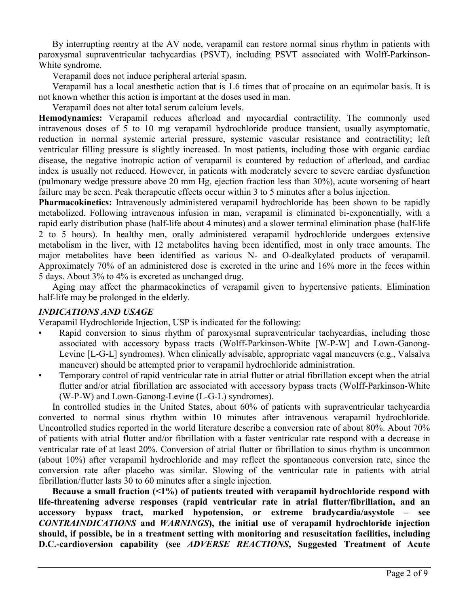By interrupting reentry at the AV node, verapamil can restore normal sinus rhythm in patients with paroxysmal supraventricular tachycardias (PSVT), including PSVT associated with Wolff-Parkinson-White syndrome.

Verapamil does not induce peripheral arterial spasm.

Verapamil has a local anesthetic action that is 1.6 times that of procaine on an equimolar basis. It is not known whether this action is important at the doses used in man.

Verapamil does not alter total serum calcium levels.

**Hemodynamics:** Verapamil reduces afterload and myocardial contractility. The commonly used intravenous doses of 5 to 10 mg verapamil hydrochloride produce transient, usually asymptomatic, reduction in normal systemic arterial pressure, systemic vascular resistance and contractility; left ventricular filling pressure is slightly increased. In most patients, including those with organic cardiac disease, the negative inotropic action of verapamil is countered by reduction of afterload, and cardiac index is usually not reduced. However, in patients with moderately severe to severe cardiac dysfunction (pulmonary wedge pressure above 20 mm Hg, ejection fraction less than 30%), acute worsening of heart failure may be seen. Peak therapeutic effects occur within 3 to 5 minutes after a bolus injection.

**Pharmacokinetics:** Intravenously administered verapamil hydrochloride has been shown to be rapidly metabolized. Following intravenous infusion in man, verapamil is eliminated bi-exponentially, with a rapid early distribution phase (half-life about 4 minutes) and a slower terminal elimination phase (half-life 2 to 5 hours). In healthy men, orally administered verapamil hydrochloride undergoes extensive metabolism in the liver, with 12 metabolites having been identified, most in only trace amounts. The major metabolites have been identified as various N- and O-dealkylated products of verapamil. Approximately 70% of an administered dose is excreted in the urine and 16% more in the feces within 5 days. About 3% to 4% is excreted as unchanged drug.

Aging may affect the pharmacokinetics of verapamil given to hypertensive patients. Elimination half-life may be prolonged in the elderly.

# *INDICATIONS AND USAGE*

Verapamil Hydrochloride Injection, USP is indicated for the following:

- Rapid conversion to sinus rhythm of paroxysmal supraventricular tachycardias, including those associated with accessory bypass tracts (Wolff-Parkinson-White [W-P-W] and Lown-Ganong-Levine [L-G-L] syndromes). When clinically advisable, appropriate vagal maneuvers (e.g., Valsalva maneuver) should be attempted prior to verapamil hydrochloride administration.
- Temporary control of rapid ventricular rate in atrial flutter or atrial fibrillation except when the atrial flutter and/or atrial fibrillation are associated with accessory bypass tracts (Wolff-Parkinson-White (W-P-W) and Lown-Ganong-Levine (L-G-L) syndromes).

In controlled studies in the United States, about 60% of patients with supraventricular tachycardia converted to normal sinus rhythm within 10 minutes after intravenous verapamil hydrochloride. Uncontrolled studies reported in the world literature describe a conversion rate of about 80%. About 70% of patients with atrial flutter and/or fibrillation with a faster ventricular rate respond with a decrease in ventricular rate of at least 20%. Conversion of atrial flutter or fibrillation to sinus rhythm is uncommon (about 10%) after verapamil hydrochloride and may reflect the spontaneous conversion rate, since the conversion rate after placebo was similar. Slowing of the ventricular rate in patients with atrial fibrillation/flutter lasts 30 to 60 minutes after a single injection.

**Because a small fraction (<1%) of patients treated with verapamil hydrochloride respond with life-threatening adverse responses (rapid ventricular rate in atrial flutter/fibrillation, and an accessory bypass tract, marked hypotension, or extreme bradycardia/asystole – see**  *CONTRAINDICATIONS* **and** *WARNINGS***), the initial use of verapamil hydrochloride injection should, if possible, be in a treatment setting with monitoring and resuscitation facilities, including D.C.-cardioversion capability (see** *ADVERSE REACTIONS***, Suggested Treatment of Acute**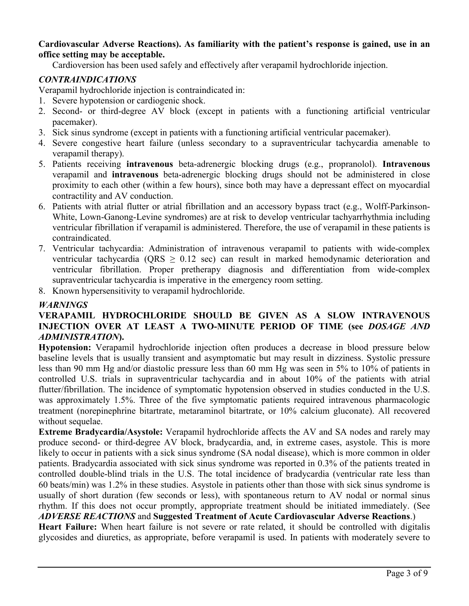#### **Cardiovascular Adverse Reactions). As familiarity with the patient's response is gained, use in an office setting may be acceptable.**

Cardioversion has been used safely and effectively after verapamil hydrochloride injection.

# *CONTRAINDICATIONS*

Verapamil hydrochloride injection is contraindicated in:

- 1. Severe hypotension or cardiogenic shock.
- 2. Second- or third-degree AV block (except in patients with a functioning artificial ventricular pacemaker).
- 3. Sick sinus syndrome (except in patients with a functioning artificial ventricular pacemaker).
- 4. Severe congestive heart failure (unless secondary to a supraventricular tachycardia amenable to verapamil therapy).
- 5. Patients receiving **intravenous** beta-adrenergic blocking drugs (e.g., propranolol). **Intravenous** verapamil and **intravenous** beta-adrenergic blocking drugs should not be administered in close proximity to each other (within a few hours), since both may have a depressant effect on myocardial contractility and AV conduction.
- 6. Patients with atrial flutter or atrial fibrillation and an accessory bypass tract (e.g., Wolff-Parkinson-White, Lown-Ganong-Levine syndromes) are at risk to develop ventricular tachyarrhythmia including ventricular fibrillation if verapamil is administered. Therefore, the use of verapamil in these patients is contraindicated.
- 7. Ventricular tachycardia: Administration of intravenous verapamil to patients with wide-complex ventricular tachycardia (QRS  $\geq$  0.12 sec) can result in marked hemodynamic deterioration and ventricular fibrillation. Proper pretherapy diagnosis and differentiation from wide-complex supraventricular tachycardia is imperative in the emergency room setting.
- 8. Known hypersensitivity to verapamil hydrochloride.

# *WARNINGS*

# **VERAPAMIL HYDROCHLORIDE SHOULD BE GIVEN AS A SLOW INTRAVENOUS INJECTION OVER AT LEAST A TWO-MINUTE PERIOD OF TIME (see** *DOSAGE AND ADMINISTRATION***).**

**Hypotension:** Verapamil hydrochloride injection often produces a decrease in blood pressure below baseline levels that is usually transient and asymptomatic but may result in dizziness. Systolic pressure less than 90 mm Hg and/or diastolic pressure less than 60 mm Hg was seen in 5% to 10% of patients in controlled U.S. trials in supraventricular tachycardia and in about 10% of the patients with atrial flutter/fibrillation. The incidence of symptomatic hypotension observed in studies conducted in the U.S. was approximately 1.5%. Three of the five symptomatic patients required intravenous pharmacologic treatment (norepinephrine bitartrate, metaraminol bitartrate, or 10% calcium gluconate). All recovered without sequelae.

**Extreme Bradycardia/Asystole:** Verapamil hydrochloride affects the AV and SA nodes and rarely may produce second- or third-degree AV block, bradycardia, and, in extreme cases, asystole. This is more likely to occur in patients with a sick sinus syndrome (SA nodal disease), which is more common in older patients. Bradycardia associated with sick sinus syndrome was reported in 0.3% of the patients treated in controlled double-blind trials in the U.S. The total incidence of bradycardia (ventricular rate less than 60 beats/min) was 1.2% in these studies. Asystole in patients other than those with sick sinus syndrome is usually of short duration (few seconds or less), with spontaneous return to AV nodal or normal sinus rhythm. If this does not occur promptly, appropriate treatment should be initiated immediately. (See *ADVERSE REACTIONS* and **Suggested Treatment of Acute Cardiovascular Adverse Reactions**.)

**Heart Failure:** When heart failure is not severe or rate related, it should be controlled with digitalis glycosides and diuretics, as appropriate, before verapamil is used. In patients with moderately severe to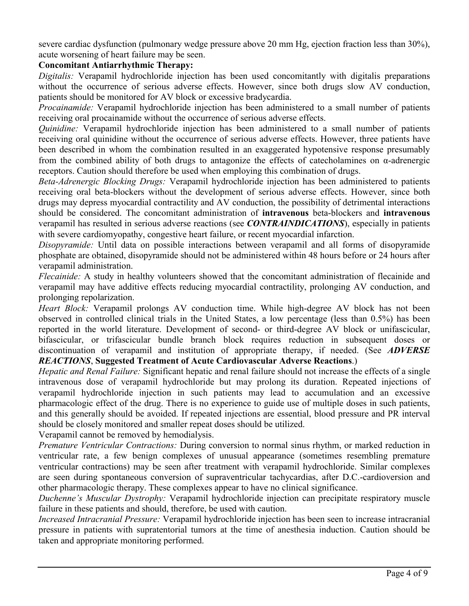severe cardiac dysfunction (pulmonary wedge pressure above 20 mm Hg, ejection fraction less than 30%), acute worsening of heart failure may be seen.

# **Concomitant Antiarrhythmic Therapy:**

*Digitalis:* Verapamil hydrochloride injection has been used concomitantly with digitalis preparations without the occurrence of serious adverse effects. However, since both drugs slow AV conduction, patients should be monitored for AV block or excessive bradycardia.

*Procainamide:* Verapamil hydrochloride injection has been administered to a small number of patients receiving oral procainamide without the occurrence of serious adverse effects.

*Quinidine:* Verapamil hydrochloride injection has been administered to a small number of patients receiving oral quinidine without the occurrence of serious adverse effects. However, three patients have been described in whom the combination resulted in an exaggerated hypotensive response presumably from the combined ability of both drugs to antagonize the effects of catecholamines on  $\alpha$ -adrenergic receptors. Caution should therefore be used when employing this combination of drugs.

*Beta-Adrenergic Blocking Drugs:* Verapamil hydrochloride injection has been administered to patients receiving oral beta-blockers without the development of serious adverse effects. However, since both drugs may depress myocardial contractility and AV conduction, the possibility of detrimental interactions should be considered. The concomitant administration of **intravenous** beta-blockers and **intravenous** verapamil has resulted in serious adverse reactions (see *CONTRAINDICATIONS*), especially in patients with severe cardiomyopathy, congestive heart failure, or recent myocardial infarction.

*Disopyramide:* Until data on possible interactions between verapamil and all forms of disopyramide phosphate are obtained, disopyramide should not be administered within 48 hours before or 24 hours after verapamil administration.

*Flecainide:* A study in healthy volunteers showed that the concomitant administration of flecainide and verapamil may have additive effects reducing myocardial contractility, prolonging AV conduction, and prolonging repolarization.

*Heart Block:* Verapamil prolongs AV conduction time. While high-degree AV block has not been observed in controlled clinical trials in the United States, a low percentage (less than 0.5%) has been reported in the world literature. Development of second- or third-degree AV block or unifascicular, bifascicular, or trifascicular bundle branch block requires reduction in subsequent doses or discontinuation of verapamil and institution of appropriate therapy, if needed. (See *ADVERSE REACTIONS*, **Suggested Treatment of Acute Cardiovascular Adverse Reactions**.)

*Hepatic and Renal Failure:* Significant hepatic and renal failure should not increase the effects of a single intravenous dose of verapamil hydrochloride but may prolong its duration. Repeated injections of verapamil hydrochloride injection in such patients may lead to accumulation and an excessive pharmacologic effect of the drug. There is no experience to guide use of multiple doses in such patients, and this generally should be avoided. If repeated injections are essential, blood pressure and PR interval should be closely monitored and smaller repeat doses should be utilized.

Verapamil cannot be removed by hemodialysis.

*Premature Ventricular Contractions:* During conversion to normal sinus rhythm, or marked reduction in ventricular rate, a few benign complexes of unusual appearance (sometimes resembling premature ventricular contractions) may be seen after treatment with verapamil hydrochloride. Similar complexes are seen during spontaneous conversion of supraventricular tachycardias, after D.C.-cardioversion and other pharmacologic therapy. These complexes appear to have no clinical significance.

*Duchenne's Muscular Dystrophy:* Verapamil hydrochloride injection can precipitate respiratory muscle failure in these patients and should, therefore, be used with caution.

*Increased Intracranial Pressure:* Verapamil hydrochloride injection has been seen to increase intracranial pressure in patients with supratentorial tumors at the time of anesthesia induction. Caution should be taken and appropriate monitoring performed.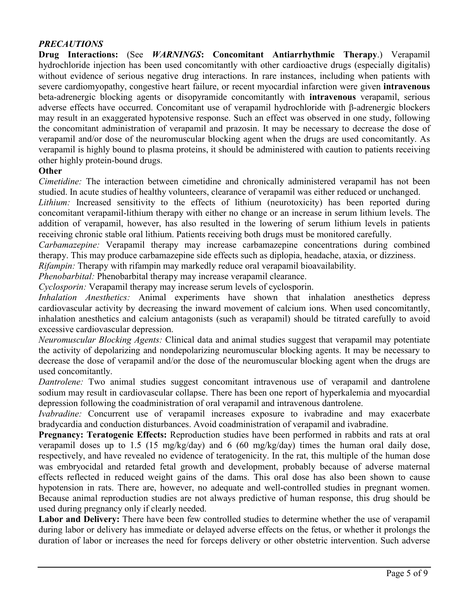# *PRECAUTIONS*

**Drug Interactions:** (See *WARNINGS***: Concomitant Antiarrhythmic Therapy**.) Verapamil hydrochloride injection has been used concomitantly with other cardioactive drugs (especially digitalis) without evidence of serious negative drug interactions. In rare instances, including when patients with severe cardiomyopathy, congestive heart failure, or recent myocardial infarction were given **intravenous** beta-adrenergic blocking agents or disopyramide concomitantly with **intravenous** verapamil, serious adverse effects have occurred. Concomitant use of verapamil hydrochloride with β-adrenergic blockers may result in an exaggerated hypotensive response. Such an effect was observed in one study, following the concomitant administration of verapamil and prazosin. It may be necessary to decrease the dose of verapamil and/or dose of the neuromuscular blocking agent when the drugs are used concomitantly. As verapamil is highly bound to plasma proteins, it should be administered with caution to patients receiving other highly protein-bound drugs.

#### **Other**

*Cimetidine:* The interaction between cimetidine and chronically administered verapamil has not been studied. In acute studies of healthy volunteers, clearance of verapamil was either reduced or unchanged.

*Lithium:* Increased sensitivity to the effects of lithium (neurotoxicity) has been reported during concomitant verapamil-lithium therapy with either no change or an increase in serum lithium levels. The addition of verapamil, however, has also resulted in the lowering of serum lithium levels in patients receiving chronic stable oral lithium. Patients receiving both drugs must be monitored carefully.

*Carbamazepine:* Verapamil therapy may increase carbamazepine concentrations during combined therapy. This may produce carbamazepine side effects such as diplopia, headache, ataxia, or dizziness.

*Rifampin:* Therapy with rifampin may markedly reduce oral verapamil bioavailability.

*Phenobarbital:* Phenobarbital therapy may increase verapamil clearance.

*Cyclosporin:* Verapamil therapy may increase serum levels of cyclosporin.

*Inhalation Anesthetics:* Animal experiments have shown that inhalation anesthetics depress cardiovascular activity by decreasing the inward movement of calcium ions. When used concomitantly, inhalation anesthetics and calcium antagonists (such as verapamil) should be titrated carefully to avoid excessive cardiovascular depression.

*Neuromuscular Blocking Agents:* Clinical data and animal studies suggest that verapamil may potentiate the activity of depolarizing and nondepolarizing neuromuscular blocking agents. It may be necessary to decrease the dose of verapamil and/or the dose of the neuromuscular blocking agent when the drugs are used concomitantly.

*Dantrolene:* Two animal studies suggest concomitant intravenous use of verapamil and dantrolene sodium may result in cardiovascular collapse. There has been one report of hyperkalemia and myocardial depression following the coadministration of oral verapamil and intravenous dantrolene.

*Ivabradine:* Concurrent use of verapamil increases exposure to ivabradine and may exacerbate bradycardia and conduction disturbances. Avoid coadministration of verapamil and ivabradine.

**Pregnancy: Teratogenic Effects:** Reproduction studies have been performed in rabbits and rats at oral verapamil doses up to 1.5 (15 mg/kg/day) and 6 (60 mg/kg/day) times the human oral daily dose, respectively, and have revealed no evidence of teratogenicity. In the rat, this multiple of the human dose was embryocidal and retarded fetal growth and development, probably because of adverse maternal effects reflected in reduced weight gains of the dams. This oral dose has also been shown to cause hypotension in rats. There are, however, no adequate and well-controlled studies in pregnant women. Because animal reproduction studies are not always predictive of human response, this drug should be used during pregnancy only if clearly needed.

**Labor and Delivery:** There have been few controlled studies to determine whether the use of verapamil during labor or delivery has immediate or delayed adverse effects on the fetus, or whether it prolongs the duration of labor or increases the need for forceps delivery or other obstetric intervention. Such adverse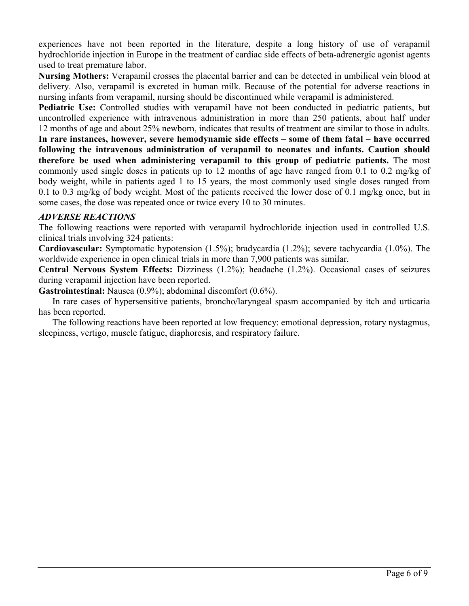experiences have not been reported in the literature, despite a long history of use of verapamil hydrochloride injection in Europe in the treatment of cardiac side effects of beta-adrenergic agonist agents used to treat premature labor.

**Nursing Mothers:** Verapamil crosses the placental barrier and can be detected in umbilical vein blood at delivery. Also, verapamil is excreted in human milk. Because of the potential for adverse reactions in nursing infants from verapamil, nursing should be discontinued while verapamil is administered.

**Pediatric Use:** Controlled studies with verapamil have not been conducted in pediatric patients, but uncontrolled experience with intravenous administration in more than 250 patients, about half under 12 months of age and about 25% newborn, indicates that results of treatment are similar to those in adults. **In rare instances, however, severe hemodynamic side effects – some of them fatal – have occurred following the intravenous administration of verapamil to neonates and infants. Caution should therefore be used when administering verapamil to this group of pediatric patients.** The most commonly used single doses in patients up to 12 months of age have ranged from 0.1 to 0.2 mg/kg of body weight, while in patients aged 1 to 15 years, the most commonly used single doses ranged from 0.1 to 0.3 mg/kg of body weight. Most of the patients received the lower dose of 0.1 mg/kg once, but in some cases, the dose was repeated once or twice every 10 to 30 minutes.

# *ADVERSE REACTIONS*

The following reactions were reported with verapamil hydrochloride injection used in controlled U.S. clinical trials involving 324 patients:

**Cardiovascular:** Symptomatic hypotension (1.5%); bradycardia (1.2%); severe tachycardia (1.0%). The worldwide experience in open clinical trials in more than 7,900 patients was similar.

**Central Nervous System Effects:** Dizziness (1.2%); headache (1.2%). Occasional cases of seizures during verapamil injection have been reported.

**Gastrointestinal:** Nausea (0.9%); abdominal discomfort (0.6%).

In rare cases of hypersensitive patients, broncho/laryngeal spasm accompanied by itch and urticaria has been reported.

The following reactions have been reported at low frequency: emotional depression, rotary nystagmus, sleepiness, vertigo, muscle fatigue, diaphoresis, and respiratory failure.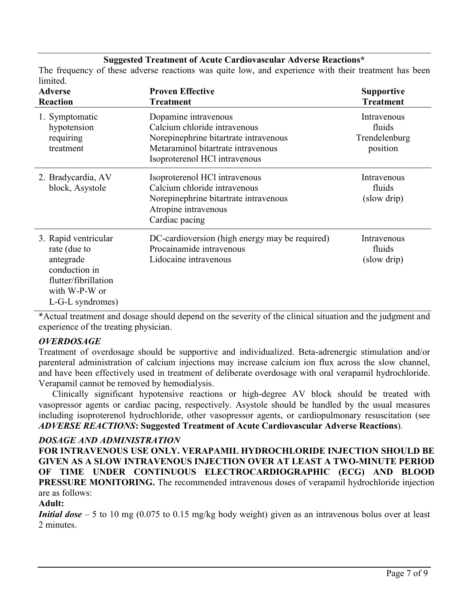# **Suggested Treatment of Acute Cardiovascular Adverse Reactions\***

The frequency of these adverse reactions was quite low, and experience with their treatment has been limited.

| <b>Adverse</b><br><b>Reaction</b>                                                                                               | <b>Proven Effective</b><br><b>Treatment</b>                                                                                                                          | <b>Supportive</b><br><b>Treatment</b>              |
|---------------------------------------------------------------------------------------------------------------------------------|----------------------------------------------------------------------------------------------------------------------------------------------------------------------|----------------------------------------------------|
| 1. Symptomatic<br>hypotension<br>requiring<br>treatment                                                                         | Dopamine intravenous<br>Calcium chloride intravenous<br>Norepinephrine bitartrate intravenous<br>Metaraminol bitartrate intravenous<br>Isoproterenol HCl intravenous | Intravenous<br>fluids<br>Trendelenburg<br>position |
| 2. Bradycardia, AV<br>block, Asystole                                                                                           | Isoproterenol HCl intravenous<br>Calcium chloride intravenous<br>Norepinephrine bitartrate intravenous<br>Atropine intravenous<br>Cardiac pacing                     | Intravenous<br>fluids<br>(slow drip)               |
| 3. Rapid ventricular<br>rate (due to<br>antegrade<br>conduction in<br>flutter/fibrillation<br>with W-P-W or<br>L-G-L syndromes) | DC-cardioversion (high energy may be required)<br>Procainamide intravenous<br>Lidocaine intravenous                                                                  | Intravenous<br>fluids<br>(slow drip)               |

\*Actual treatment and dosage should depend on the severity of the clinical situation and the judgment and experience of the treating physician.

# *OVERDOSAGE*

Treatment of overdosage should be supportive and individualized. Beta-adrenergic stimulation and/or parenteral administration of calcium injections may increase calcium ion flux across the slow channel, and have been effectively used in treatment of deliberate overdosage with oral verapamil hydrochloride. Verapamil cannot be removed by hemodialysis.

Clinically significant hypotensive reactions or high-degree AV block should be treated with vasopressor agents or cardiac pacing, respectively. Asystole should be handled by the usual measures including isoproterenol hydrochloride, other vasopressor agents, or cardiopulmonary resuscitation (see *ADVERSE REACTIONS***: Suggested Treatment of Acute Cardiovascular Adverse Reactions**).

# *DOSAGE AND ADMINISTRATION*

**FOR INTRAVENOUS USE ONLY. VERAPAMIL HYDROCHLORIDE INJECTION SHOULD BE GIVEN AS A SLOW INTRAVENOUS INJECTION OVER AT LEAST A TWO-MINUTE PERIOD OF TIME UNDER CONTINUOUS ELECTROCARDIOGRAPHIC (ECG) AND BLOOD PRESSURE MONITORING.** The recommended intravenous doses of verapamil hydrochloride injection are as follows:

#### **Adult:**

*Initial dose* – 5 to 10 mg (0.075 to 0.15 mg/kg body weight) given as an intravenous bolus over at least 2 minutes.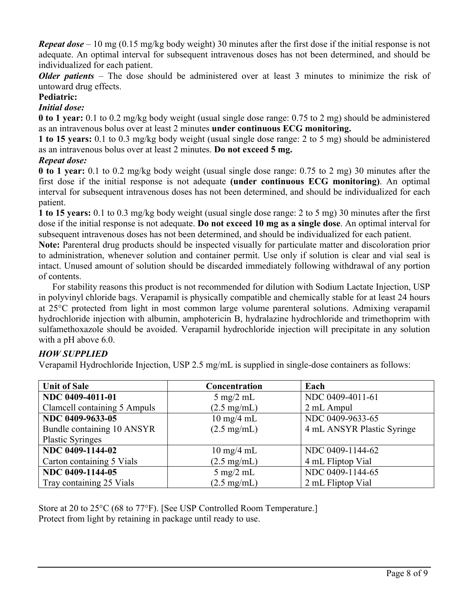*Repeat dose* – 10 mg (0.15 mg/kg body weight) 30 minutes after the first dose if the initial response is not adequate. An optimal interval for subsequent intravenous doses has not been determined, and should be individualized for each patient.

*Older patients* – The dose should be administered over at least 3 minutes to minimize the risk of untoward drug effects.

## **Pediatric:**

### *Initial dose:*

**0 to 1 year:** 0.1 to 0.2 mg/kg body weight (usual single dose range: 0.75 to 2 mg) should be administered as an intravenous bolus over at least 2 minutes **under continuous ECG monitoring.**

**1 to 15 years:** 0.1 to 0.3 mg/kg body weight (usual single dose range: 2 to 5 mg) should be administered as an intravenous bolus over at least 2 minutes. **Do not exceed 5 mg.**

# *Repeat dose:*

**0 to 1 year:** 0.1 to 0.2 mg/kg body weight (usual single dose range: 0.75 to 2 mg) 30 minutes after the first dose if the initial response is not adequate **(under continuous ECG monitoring)**. An optimal interval for subsequent intravenous doses has not been determined, and should be individualized for each patient.

**1 to 15 years:** 0.1 to 0.3 mg/kg body weight (usual single dose range: 2 to 5 mg) 30 minutes after the first dose if the initial response is not adequate. **Do not exceed 10 mg as a single dose**. An optimal interval for subsequent intravenous doses has not been determined, and should be individualized for each patient.

**Note:** Parenteral drug products should be inspected visually for particulate matter and discoloration prior to administration, whenever solution and container permit. Use only if solution is clear and vial seal is intact. Unused amount of solution should be discarded immediately following withdrawal of any portion of contents.

For stability reasons this product is not recommended for dilution with Sodium Lactate Injection, USP in polyvinyl chloride bags. Verapamil is physically compatible and chemically stable for at least 24 hours at 25°C protected from light in most common large volume parenteral solutions. Admixing verapamil hydrochloride injection with albumin, amphotericin B, hydralazine hydrochloride and trimethoprim with sulfamethoxazole should be avoided. Verapamil hydrochloride injection will precipitate in any solution with a pH above 6.0.

# *HOW SUPPLIED*

Verapamil Hydrochloride Injection, USP 2.5 mg/mL is supplied in single-dose containers as follows:

| <b>Unit of Sale</b>          | Concentration                | Each                       |
|------------------------------|------------------------------|----------------------------|
| NDC 0409-4011-01             | $5 \text{ mg}/2 \text{ mL}$  | NDC 0409-4011-61           |
| Clamcell containing 5 Ampuls | $(2.5 \text{ mg/mL})$        | 2 mL Ampul                 |
| NDC 0409-9633-05             | $10 \text{ mg}/4 \text{ mL}$ | NDC 0409-9633-65           |
| Bundle containing 10 ANSYR   | $(2.5 \text{ mg/mL})$        | 4 mL ANSYR Plastic Syringe |
| <b>Plastic Syringes</b>      |                              |                            |
| NDC 0409-1144-02             | $10 \text{ mg}/4 \text{ mL}$ | NDC 0409-1144-62           |
| Carton containing 5 Vials    | $(2.5 \text{ mg/mL})$        | 4 mL Fliptop Vial          |
| NDC 0409-1144-05             | $5 \text{ mg}/2 \text{ mL}$  | NDC 0409-1144-65           |
| Tray containing 25 Vials     | $(2.5 \text{ mg/mL})$        | 2 mL Fliptop Vial          |

Store at 20 to 25°C (68 to 77°F). [See USP Controlled Room Temperature.] Protect from light by retaining in package until ready to use.